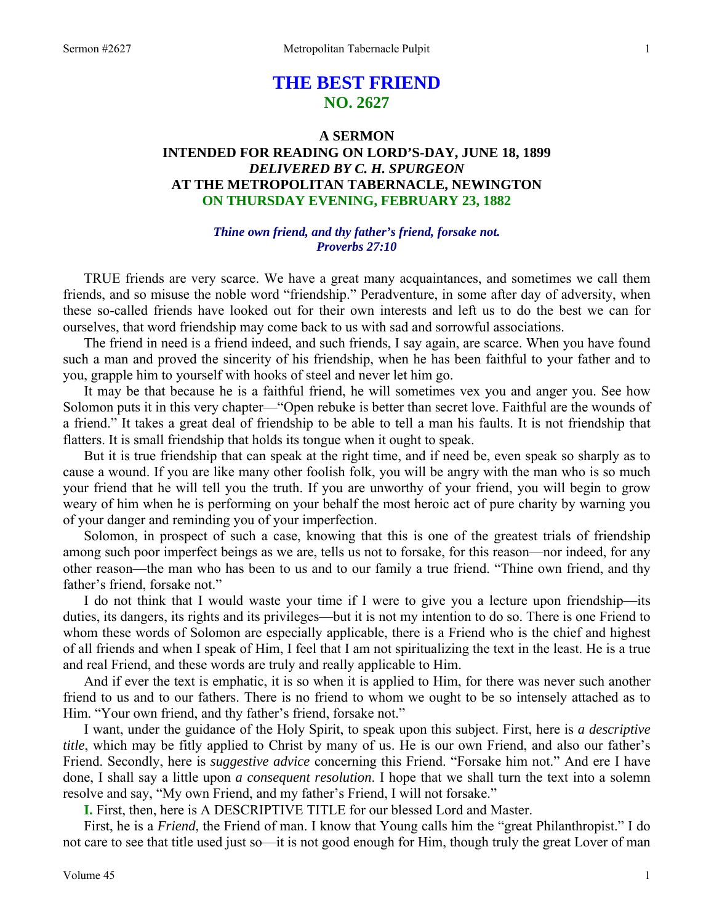# **THE BEST FRIEND NO. 2627**

## **A SERMON INTENDED FOR READING ON LORD'S-DAY, JUNE 18, 1899**  *DELIVERED BY C. H. SPURGEON*  **AT THE METROPOLITAN TABERNACLE, NEWINGTON ON THURSDAY EVENING, FEBRUARY 23, 1882**

## *Thine own friend, and thy father's friend, forsake not. Proverbs 27:10*

TRUE friends are very scarce. We have a great many acquaintances, and sometimes we call them friends, and so misuse the noble word "friendship." Peradventure, in some after day of adversity, when these so-called friends have looked out for their own interests and left us to do the best we can for ourselves, that word friendship may come back to us with sad and sorrowful associations.

 The friend in need is a friend indeed, and such friends, I say again, are scarce. When you have found such a man and proved the sincerity of his friendship, when he has been faithful to your father and to you, grapple him to yourself with hooks of steel and never let him go.

 It may be that because he is a faithful friend, he will sometimes vex you and anger you. See how Solomon puts it in this very chapter—"Open rebuke is better than secret love. Faithful are the wounds of a friend." It takes a great deal of friendship to be able to tell a man his faults. It is not friendship that flatters. It is small friendship that holds its tongue when it ought to speak.

 But it is true friendship that can speak at the right time, and if need be, even speak so sharply as to cause a wound. If you are like many other foolish folk, you will be angry with the man who is so much your friend that he will tell you the truth. If you are unworthy of your friend, you will begin to grow weary of him when he is performing on your behalf the most heroic act of pure charity by warning you of your danger and reminding you of your imperfection.

 Solomon, in prospect of such a case, knowing that this is one of the greatest trials of friendship among such poor imperfect beings as we are, tells us not to forsake, for this reason—nor indeed, for any other reason—the man who has been to us and to our family a true friend. "Thine own friend, and thy father's friend, forsake not."

 I do not think that I would waste your time if I were to give you a lecture upon friendship—its duties, its dangers, its rights and its privileges—but it is not my intention to do so. There is one Friend to whom these words of Solomon are especially applicable, there is a Friend who is the chief and highest of all friends and when I speak of Him, I feel that I am not spiritualizing the text in the least. He is a true and real Friend, and these words are truly and really applicable to Him.

 And if ever the text is emphatic, it is so when it is applied to Him, for there was never such another friend to us and to our fathers. There is no friend to whom we ought to be so intensely attached as to Him. "Your own friend, and thy father's friend, forsake not."

 I want, under the guidance of the Holy Spirit, to speak upon this subject. First, here is *a descriptive title*, which may be fitly applied to Christ by many of us. He is our own Friend, and also our father's Friend. Secondly, here is *suggestive advice* concerning this Friend. "Forsake him not." And ere I have done, I shall say a little upon *a consequent resolution*. I hope that we shall turn the text into a solemn resolve and say, "My own Friend, and my father's Friend, I will not forsake."

**I.** First, then, here is A DESCRIPTIVE TITLE for our blessed Lord and Master.

 First, he is a *Friend*, the Friend of man. I know that Young calls him the "great Philanthropist." I do not care to see that title used just so—it is not good enough for Him, though truly the great Lover of man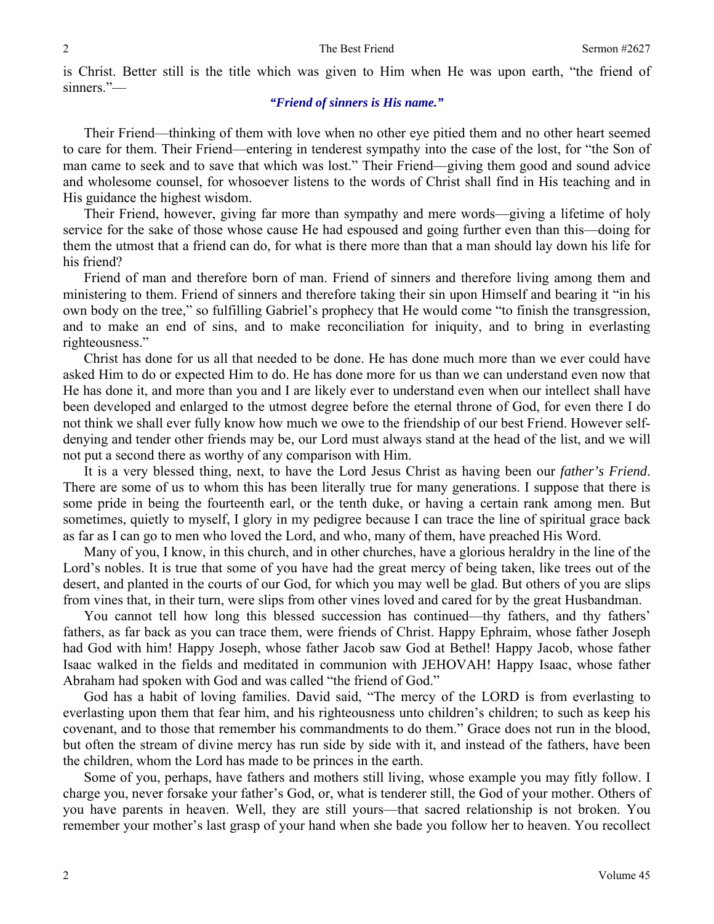is Christ. Better still is the title which was given to Him when He was upon earth, "the friend of sinners."—

### *"Friend of sinners is His name."*

 Their Friend—thinking of them with love when no other eye pitied them and no other heart seemed to care for them. Their Friend—entering in tenderest sympathy into the case of the lost, for "the Son of man came to seek and to save that which was lost." Their Friend—giving them good and sound advice and wholesome counsel, for whosoever listens to the words of Christ shall find in His teaching and in His guidance the highest wisdom.

 Their Friend, however, giving far more than sympathy and mere words—giving a lifetime of holy service for the sake of those whose cause He had espoused and going further even than this—doing for them the utmost that a friend can do, for what is there more than that a man should lay down his life for his friend?

 Friend of man and therefore born of man. Friend of sinners and therefore living among them and ministering to them. Friend of sinners and therefore taking their sin upon Himself and bearing it "in his own body on the tree," so fulfilling Gabriel's prophecy that He would come "to finish the transgression, and to make an end of sins, and to make reconciliation for iniquity, and to bring in everlasting righteousness."

 Christ has done for us all that needed to be done. He has done much more than we ever could have asked Him to do or expected Him to do. He has done more for us than we can understand even now that He has done it, and more than you and I are likely ever to understand even when our intellect shall have been developed and enlarged to the utmost degree before the eternal throne of God, for even there I do not think we shall ever fully know how much we owe to the friendship of our best Friend. However selfdenying and tender other friends may be, our Lord must always stand at the head of the list, and we will not put a second there as worthy of any comparison with Him.

 It is a very blessed thing, next, to have the Lord Jesus Christ as having been our *father's Friend*. There are some of us to whom this has been literally true for many generations. I suppose that there is some pride in being the fourteenth earl, or the tenth duke, or having a certain rank among men. But sometimes, quietly to myself, I glory in my pedigree because I can trace the line of spiritual grace back as far as I can go to men who loved the Lord, and who, many of them, have preached His Word.

 Many of you, I know, in this church, and in other churches, have a glorious heraldry in the line of the Lord's nobles. It is true that some of you have had the great mercy of being taken, like trees out of the desert, and planted in the courts of our God, for which you may well be glad. But others of you are slips from vines that, in their turn, were slips from other vines loved and cared for by the great Husbandman.

 You cannot tell how long this blessed succession has continued—thy fathers, and thy fathers' fathers, as far back as you can trace them, were friends of Christ. Happy Ephraim, whose father Joseph had God with him! Happy Joseph, whose father Jacob saw God at Bethel! Happy Jacob, whose father Isaac walked in the fields and meditated in communion with JEHOVAH! Happy Isaac, whose father Abraham had spoken with God and was called "the friend of God."

 God has a habit of loving families. David said, "The mercy of the LORD is from everlasting to everlasting upon them that fear him, and his righteousness unto children's children; to such as keep his covenant, and to those that remember his commandments to do them." Grace does not run in the blood, but often the stream of divine mercy has run side by side with it, and instead of the fathers, have been the children, whom the Lord has made to be princes in the earth.

 Some of you, perhaps, have fathers and mothers still living, whose example you may fitly follow. I charge you, never forsake your father's God, or, what is tenderer still, the God of your mother. Others of you have parents in heaven. Well, they are still yours—that sacred relationship is not broken. You remember your mother's last grasp of your hand when she bade you follow her to heaven. You recollect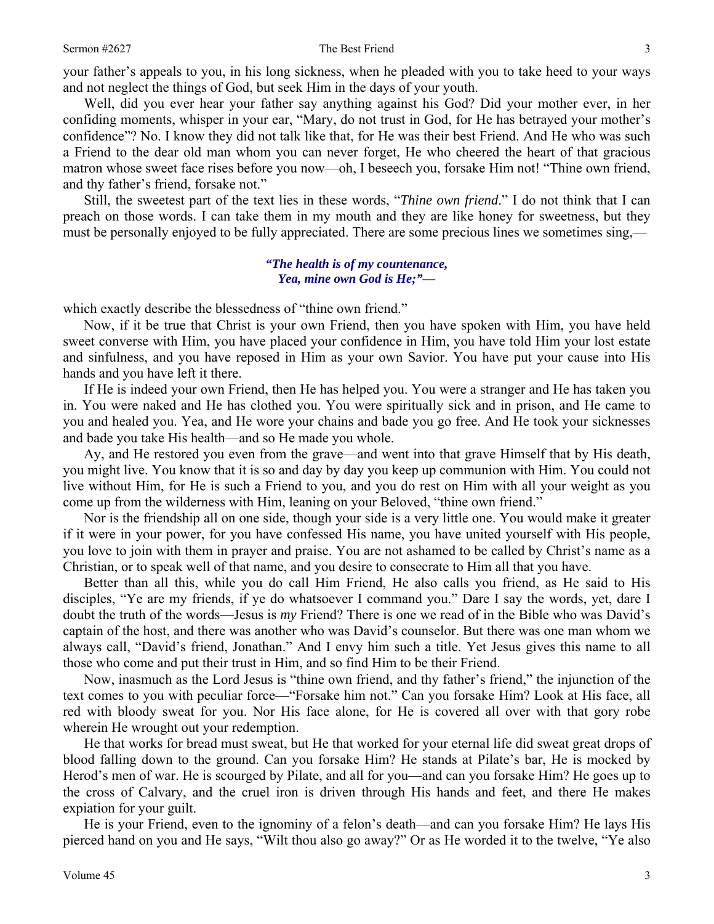#### Sermon #2627 **Sermon #2627** The Best Friend 3

your father's appeals to you, in his long sickness, when he pleaded with you to take heed to your ways and not neglect the things of God, but seek Him in the days of your youth.

 Well, did you ever hear your father say anything against his God? Did your mother ever, in her confiding moments, whisper in your ear, "Mary, do not trust in God, for He has betrayed your mother's confidence"? No. I know they did not talk like that, for He was their best Friend. And He who was such a Friend to the dear old man whom you can never forget, He who cheered the heart of that gracious matron whose sweet face rises before you now—oh, I beseech you, forsake Him not! "Thine own friend, and thy father's friend, forsake not."

 Still, the sweetest part of the text lies in these words, "*Thine own friend*." I do not think that I can preach on those words. I can take them in my mouth and they are like honey for sweetness, but they must be personally enjoyed to be fully appreciated. There are some precious lines we sometimes sing,—

#### *"The health is of my countenance, Yea, mine own God is He;"—*

which exactly describe the blessedness of "thine own friend."

 Now, if it be true that Christ is your own Friend, then you have spoken with Him, you have held sweet converse with Him, you have placed your confidence in Him, you have told Him your lost estate and sinfulness, and you have reposed in Him as your own Savior. You have put your cause into His hands and you have left it there.

 If He is indeed your own Friend, then He has helped you. You were a stranger and He has taken you in. You were naked and He has clothed you. You were spiritually sick and in prison, and He came to you and healed you. Yea, and He wore your chains and bade you go free. And He took your sicknesses and bade you take His health—and so He made you whole.

 Ay, and He restored you even from the grave—and went into that grave Himself that by His death, you might live. You know that it is so and day by day you keep up communion with Him. You could not live without Him, for He is such a Friend to you, and you do rest on Him with all your weight as you come up from the wilderness with Him, leaning on your Beloved, "thine own friend."

 Nor is the friendship all on one side, though your side is a very little one. You would make it greater if it were in your power, for you have confessed His name, you have united yourself with His people, you love to join with them in prayer and praise. You are not ashamed to be called by Christ's name as a Christian, or to speak well of that name, and you desire to consecrate to Him all that you have.

 Better than all this, while you do call Him Friend, He also calls you friend, as He said to His disciples, "Ye are my friends, if ye do whatsoever I command you." Dare I say the words, yet, dare I doubt the truth of the words—Jesus is *my* Friend? There is one we read of in the Bible who was David's captain of the host, and there was another who was David's counselor. But there was one man whom we always call, "David's friend, Jonathan." And I envy him such a title. Yet Jesus gives this name to all those who come and put their trust in Him, and so find Him to be their Friend.

 Now, inasmuch as the Lord Jesus is "thine own friend, and thy father's friend," the injunction of the text comes to you with peculiar force—"Forsake him not." Can you forsake Him? Look at His face, all red with bloody sweat for you. Nor His face alone, for He is covered all over with that gory robe wherein He wrought out your redemption.

 He that works for bread must sweat, but He that worked for your eternal life did sweat great drops of blood falling down to the ground. Can you forsake Him? He stands at Pilate's bar, He is mocked by Herod's men of war. He is scourged by Pilate, and all for you—and can you forsake Him? He goes up to the cross of Calvary, and the cruel iron is driven through His hands and feet, and there He makes expiation for your guilt.

 He is your Friend, even to the ignominy of a felon's death—and can you forsake Him? He lays His pierced hand on you and He says, "Wilt thou also go away?" Or as He worded it to the twelve, "Ye also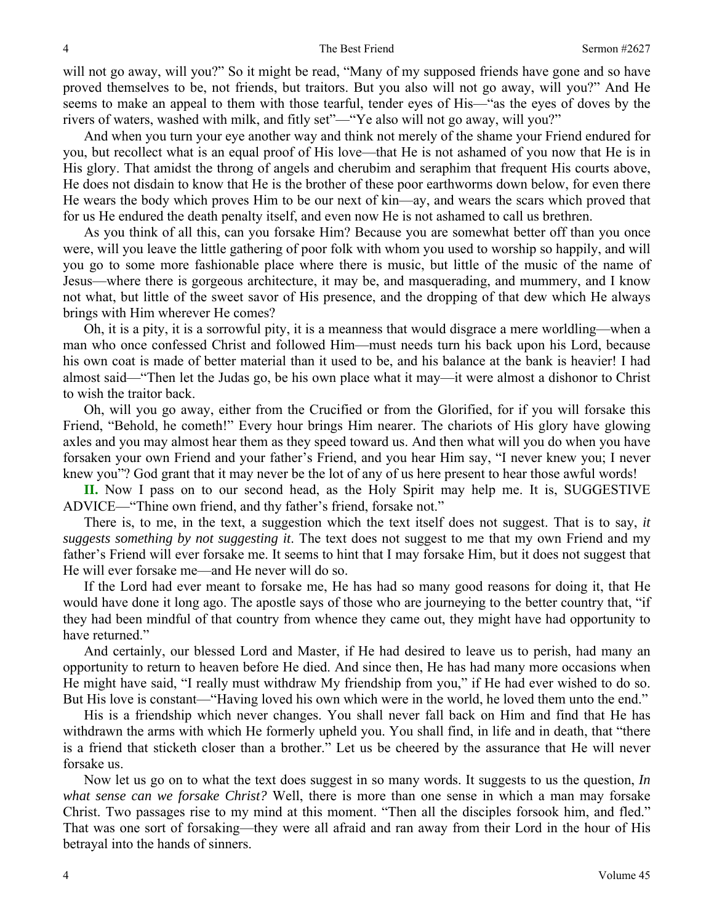will not go away, will you?" So it might be read, "Many of my supposed friends have gone and so have proved themselves to be, not friends, but traitors. But you also will not go away, will you?" And He seems to make an appeal to them with those tearful, tender eyes of His—"as the eyes of doves by the rivers of waters, washed with milk, and fitly set"—"Ye also will not go away, will you?"

 And when you turn your eye another way and think not merely of the shame your Friend endured for you, but recollect what is an equal proof of His love—that He is not ashamed of you now that He is in His glory. That amidst the throng of angels and cherubim and seraphim that frequent His courts above, He does not disdain to know that He is the brother of these poor earthworms down below, for even there He wears the body which proves Him to be our next of kin—ay, and wears the scars which proved that for us He endured the death penalty itself, and even now He is not ashamed to call us brethren.

 As you think of all this, can you forsake Him? Because you are somewhat better off than you once were, will you leave the little gathering of poor folk with whom you used to worship so happily, and will you go to some more fashionable place where there is music, but little of the music of the name of Jesus—where there is gorgeous architecture, it may be, and masquerading, and mummery, and I know not what, but little of the sweet savor of His presence, and the dropping of that dew which He always brings with Him wherever He comes?

 Oh, it is a pity, it is a sorrowful pity, it is a meanness that would disgrace a mere worldling—when a man who once confessed Christ and followed Him—must needs turn his back upon his Lord, because his own coat is made of better material than it used to be, and his balance at the bank is heavier! I had almost said—"Then let the Judas go, be his own place what it may—it were almost a dishonor to Christ to wish the traitor back.

 Oh, will you go away, either from the Crucified or from the Glorified, for if you will forsake this Friend, "Behold, he cometh!" Every hour brings Him nearer. The chariots of His glory have glowing axles and you may almost hear them as they speed toward us. And then what will you do when you have forsaken your own Friend and your father's Friend, and you hear Him say, "I never knew you; I never knew you"? God grant that it may never be the lot of any of us here present to hear those awful words!

**II.** Now I pass on to our second head, as the Holy Spirit may help me. It is, SUGGESTIVE ADVICE—"Thine own friend, and thy father's friend, forsake not."

 There is, to me, in the text, a suggestion which the text itself does not suggest. That is to say, *it suggests something by not suggesting it*. The text does not suggest to me that my own Friend and my father's Friend will ever forsake me. It seems to hint that I may forsake Him, but it does not suggest that He will ever forsake me—and He never will do so.

 If the Lord had ever meant to forsake me, He has had so many good reasons for doing it, that He would have done it long ago. The apostle says of those who are journeying to the better country that, "if they had been mindful of that country from whence they came out, they might have had opportunity to have returned."

 And certainly, our blessed Lord and Master, if He had desired to leave us to perish, had many an opportunity to return to heaven before He died. And since then, He has had many more occasions when He might have said, "I really must withdraw My friendship from you," if He had ever wished to do so. But His love is constant—"Having loved his own which were in the world, he loved them unto the end."

 His is a friendship which never changes. You shall never fall back on Him and find that He has withdrawn the arms with which He formerly upheld you. You shall find, in life and in death, that "there is a friend that sticketh closer than a brother." Let us be cheered by the assurance that He will never forsake us.

 Now let us go on to what the text does suggest in so many words. It suggests to us the question, *In what sense can we forsake Christ?* Well, there is more than one sense in which a man may forsake Christ. Two passages rise to my mind at this moment. "Then all the disciples forsook him, and fled." That was one sort of forsaking—they were all afraid and ran away from their Lord in the hour of His betrayal into the hands of sinners.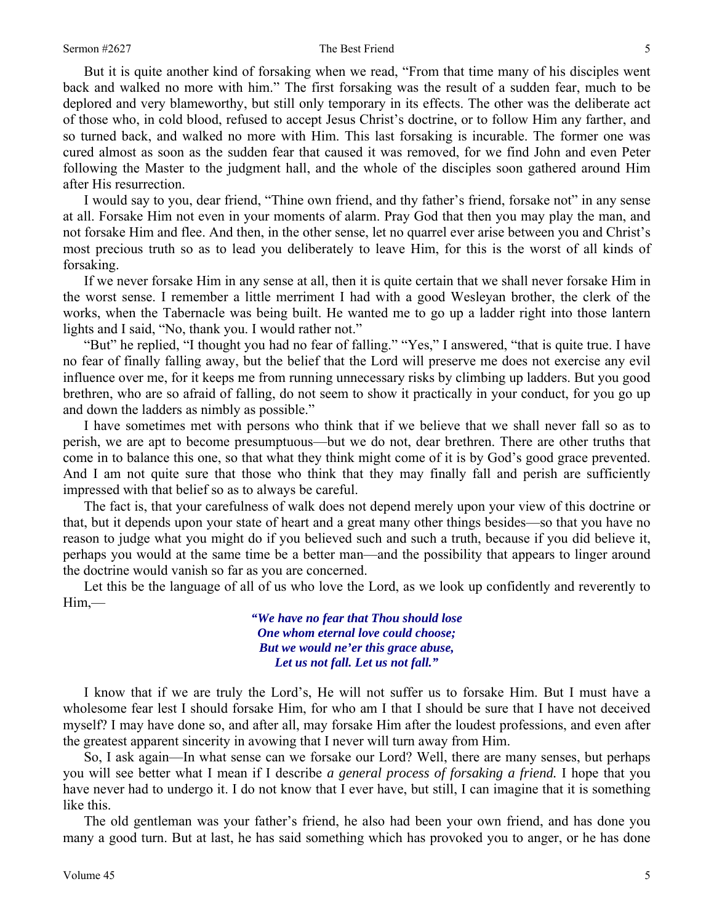#### Sermon #2627 **Sermon #2627** The Best Friend 5

 But it is quite another kind of forsaking when we read, "From that time many of his disciples went back and walked no more with him." The first forsaking was the result of a sudden fear, much to be deplored and very blameworthy, but still only temporary in its effects. The other was the deliberate act of those who, in cold blood, refused to accept Jesus Christ's doctrine, or to follow Him any farther, and so turned back, and walked no more with Him. This last forsaking is incurable. The former one was cured almost as soon as the sudden fear that caused it was removed, for we find John and even Peter following the Master to the judgment hall, and the whole of the disciples soon gathered around Him after His resurrection.

 I would say to you, dear friend, "Thine own friend, and thy father's friend, forsake not" in any sense at all. Forsake Him not even in your moments of alarm. Pray God that then you may play the man, and not forsake Him and flee. And then, in the other sense, let no quarrel ever arise between you and Christ's most precious truth so as to lead you deliberately to leave Him, for this is the worst of all kinds of forsaking.

 If we never forsake Him in any sense at all, then it is quite certain that we shall never forsake Him in the worst sense. I remember a little merriment I had with a good Wesleyan brother, the clerk of the works, when the Tabernacle was being built. He wanted me to go up a ladder right into those lantern lights and I said, "No, thank you. I would rather not."

 "But" he replied, "I thought you had no fear of falling." "Yes," I answered, "that is quite true. I have no fear of finally falling away, but the belief that the Lord will preserve me does not exercise any evil influence over me, for it keeps me from running unnecessary risks by climbing up ladders. But you good brethren, who are so afraid of falling, do not seem to show it practically in your conduct, for you go up and down the ladders as nimbly as possible."

 I have sometimes met with persons who think that if we believe that we shall never fall so as to perish, we are apt to become presumptuous—but we do not, dear brethren. There are other truths that come in to balance this one, so that what they think might come of it is by God's good grace prevented. And I am not quite sure that those who think that they may finally fall and perish are sufficiently impressed with that belief so as to always be careful.

 The fact is, that your carefulness of walk does not depend merely upon your view of this doctrine or that, but it depends upon your state of heart and a great many other things besides—so that you have no reason to judge what you might do if you believed such and such a truth, because if you did believe it, perhaps you would at the same time be a better man—and the possibility that appears to linger around the doctrine would vanish so far as you are concerned.

 Let this be the language of all of us who love the Lord, as we look up confidently and reverently to Him,—

> *"We have no fear that Thou should lose One whom eternal love could choose; But we would ne'er this grace abuse, Let us not fall. Let us not fall."*

 I know that if we are truly the Lord's, He will not suffer us to forsake Him. But I must have a wholesome fear lest I should forsake Him, for who am I that I should be sure that I have not deceived myself? I may have done so, and after all, may forsake Him after the loudest professions, and even after the greatest apparent sincerity in avowing that I never will turn away from Him.

 So, I ask again—In what sense can we forsake our Lord? Well, there are many senses, but perhaps you will see better what I mean if I describe *a general process of forsaking a friend.* I hope that you have never had to undergo it. I do not know that I ever have, but still, I can imagine that it is something like this.

 The old gentleman was your father's friend, he also had been your own friend, and has done you many a good turn. But at last, he has said something which has provoked you to anger, or he has done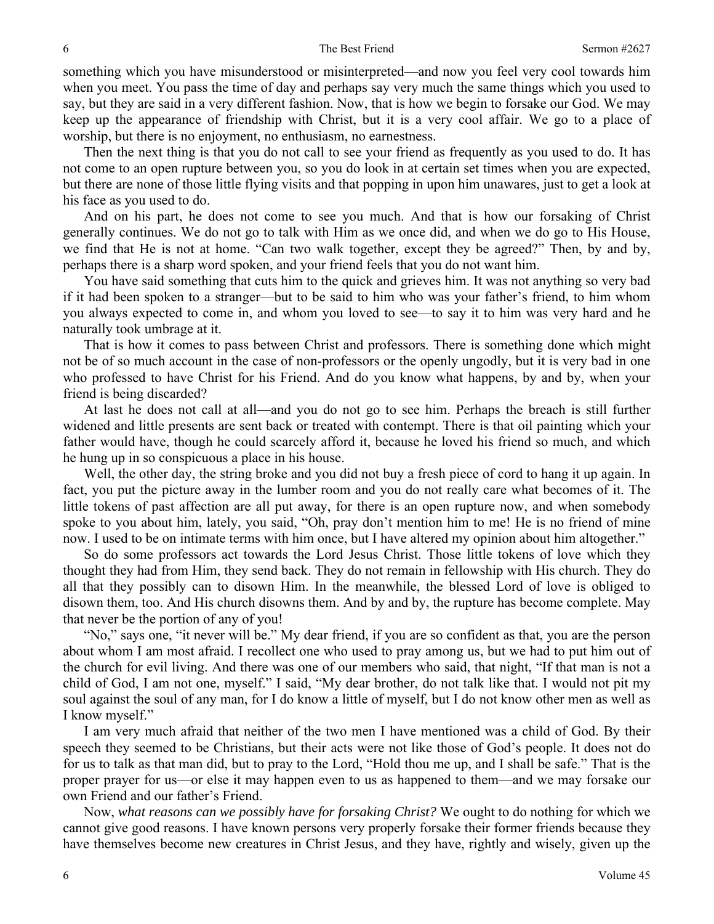something which you have misunderstood or misinterpreted—and now you feel very cool towards him when you meet. You pass the time of day and perhaps say very much the same things which you used to say, but they are said in a very different fashion. Now, that is how we begin to forsake our God. We may keep up the appearance of friendship with Christ, but it is a very cool affair. We go to a place of worship, but there is no enjoyment, no enthusiasm, no earnestness.

 Then the next thing is that you do not call to see your friend as frequently as you used to do. It has not come to an open rupture between you, so you do look in at certain set times when you are expected, but there are none of those little flying visits and that popping in upon him unawares, just to get a look at his face as you used to do.

 And on his part, he does not come to see you much. And that is how our forsaking of Christ generally continues. We do not go to talk with Him as we once did, and when we do go to His House, we find that He is not at home. "Can two walk together, except they be agreed?" Then, by and by, perhaps there is a sharp word spoken, and your friend feels that you do not want him.

 You have said something that cuts him to the quick and grieves him. It was not anything so very bad if it had been spoken to a stranger—but to be said to him who was your father's friend, to him whom you always expected to come in, and whom you loved to see—to say it to him was very hard and he naturally took umbrage at it.

 That is how it comes to pass between Christ and professors. There is something done which might not be of so much account in the case of non-professors or the openly ungodly, but it is very bad in one who professed to have Christ for his Friend. And do you know what happens, by and by, when your friend is being discarded?

 At last he does not call at all—and you do not go to see him. Perhaps the breach is still further widened and little presents are sent back or treated with contempt. There is that oil painting which your father would have, though he could scarcely afford it, because he loved his friend so much, and which he hung up in so conspicuous a place in his house.

 Well, the other day, the string broke and you did not buy a fresh piece of cord to hang it up again. In fact, you put the picture away in the lumber room and you do not really care what becomes of it. The little tokens of past affection are all put away, for there is an open rupture now, and when somebody spoke to you about him, lately, you said, "Oh, pray don't mention him to me! He is no friend of mine now. I used to be on intimate terms with him once, but I have altered my opinion about him altogether."

 So do some professors act towards the Lord Jesus Christ. Those little tokens of love which they thought they had from Him, they send back. They do not remain in fellowship with His church. They do all that they possibly can to disown Him. In the meanwhile, the blessed Lord of love is obliged to disown them, too. And His church disowns them. And by and by, the rupture has become complete. May that never be the portion of any of you!

 "No," says one, "it never will be." My dear friend, if you are so confident as that, you are the person about whom I am most afraid. I recollect one who used to pray among us, but we had to put him out of the church for evil living. And there was one of our members who said, that night, "If that man is not a child of God, I am not one, myself." I said, "My dear brother, do not talk like that. I would not pit my soul against the soul of any man, for I do know a little of myself, but I do not know other men as well as I know myself."

 I am very much afraid that neither of the two men I have mentioned was a child of God. By their speech they seemed to be Christians, but their acts were not like those of God's people. It does not do for us to talk as that man did, but to pray to the Lord, "Hold thou me up, and I shall be safe." That is the proper prayer for us—or else it may happen even to us as happened to them—and we may forsake our own Friend and our father's Friend.

 Now, *what reasons can we possibly have for forsaking Christ?* We ought to do nothing for which we cannot give good reasons. I have known persons very properly forsake their former friends because they have themselves become new creatures in Christ Jesus, and they have, rightly and wisely, given up the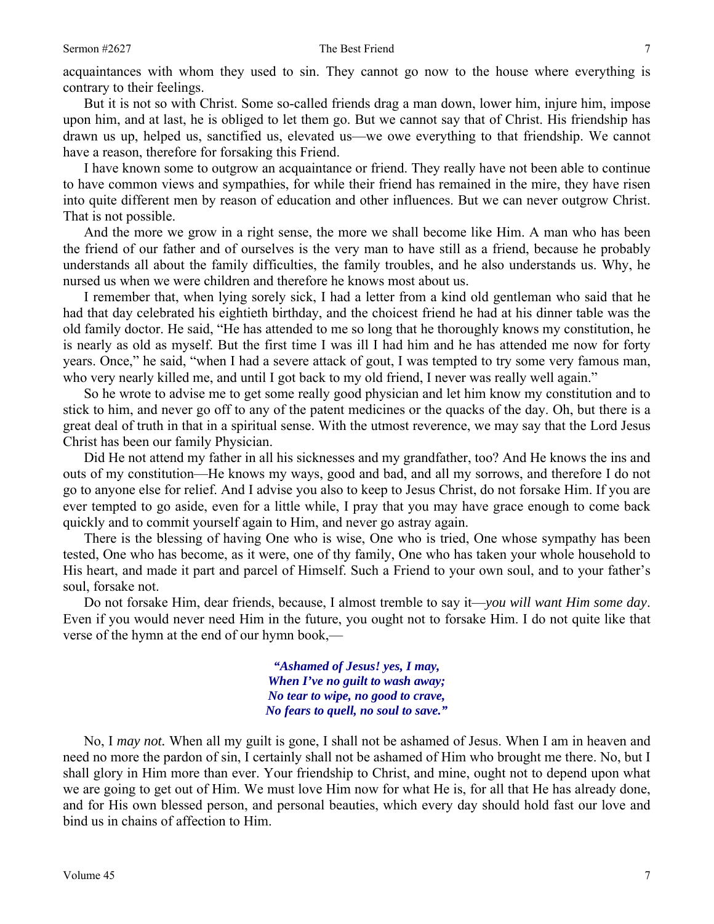acquaintances with whom they used to sin. They cannot go now to the house where everything is contrary to their feelings.

 But it is not so with Christ. Some so-called friends drag a man down, lower him, injure him, impose upon him, and at last, he is obliged to let them go. But we cannot say that of Christ. His friendship has drawn us up, helped us, sanctified us, elevated us—we owe everything to that friendship. We cannot have a reason, therefore for forsaking this Friend.

 I have known some to outgrow an acquaintance or friend. They really have not been able to continue to have common views and sympathies, for while their friend has remained in the mire, they have risen into quite different men by reason of education and other influences. But we can never outgrow Christ. That is not possible.

 And the more we grow in a right sense, the more we shall become like Him. A man who has been the friend of our father and of ourselves is the very man to have still as a friend, because he probably understands all about the family difficulties, the family troubles, and he also understands us. Why, he nursed us when we were children and therefore he knows most about us.

 I remember that, when lying sorely sick, I had a letter from a kind old gentleman who said that he had that day celebrated his eightieth birthday, and the choicest friend he had at his dinner table was the old family doctor. He said, "He has attended to me so long that he thoroughly knows my constitution, he is nearly as old as myself. But the first time I was ill I had him and he has attended me now for forty years. Once," he said, "when I had a severe attack of gout, I was tempted to try some very famous man, who very nearly killed me, and until I got back to my old friend, I never was really well again."

 So he wrote to advise me to get some really good physician and let him know my constitution and to stick to him, and never go off to any of the patent medicines or the quacks of the day. Oh, but there is a great deal of truth in that in a spiritual sense. With the utmost reverence, we may say that the Lord Jesus Christ has been our family Physician.

 Did He not attend my father in all his sicknesses and my grandfather, too? And He knows the ins and outs of my constitution—He knows my ways, good and bad, and all my sorrows, and therefore I do not go to anyone else for relief. And I advise you also to keep to Jesus Christ, do not forsake Him. If you are ever tempted to go aside, even for a little while, I pray that you may have grace enough to come back quickly and to commit yourself again to Him, and never go astray again.

 There is the blessing of having One who is wise, One who is tried, One whose sympathy has been tested, One who has become, as it were, one of thy family, One who has taken your whole household to His heart, and made it part and parcel of Himself. Such a Friend to your own soul, and to your father's soul, forsake not.

 Do not forsake Him, dear friends, because, I almost tremble to say it—*you will want Him some day*. Even if you would never need Him in the future, you ought not to forsake Him. I do not quite like that verse of the hymn at the end of our hymn book,—

> *"Ashamed of Jesus! yes, I may, When I've no guilt to wash away; No tear to wipe, no good to crave, No fears to quell, no soul to save."*

 No, I *may not.* When all my guilt is gone, I shall not be ashamed of Jesus. When I am in heaven and need no more the pardon of sin, I certainly shall not be ashamed of Him who brought me there. No, but I shall glory in Him more than ever. Your friendship to Christ, and mine, ought not to depend upon what we are going to get out of Him. We must love Him now for what He is, for all that He has already done, and for His own blessed person, and personal beauties, which every day should hold fast our love and bind us in chains of affection to Him.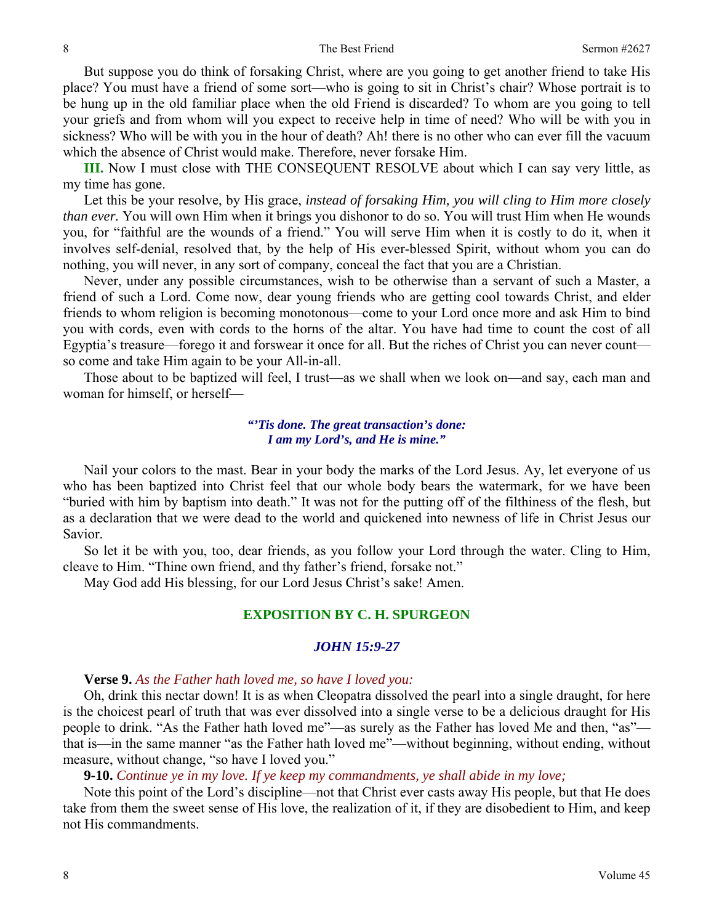#### 8 Sermon #2627

 But suppose you do think of forsaking Christ, where are you going to get another friend to take His place? You must have a friend of some sort—who is going to sit in Christ's chair? Whose portrait is to be hung up in the old familiar place when the old Friend is discarded? To whom are you going to tell your griefs and from whom will you expect to receive help in time of need? Who will be with you in sickness? Who will be with you in the hour of death? Ah! there is no other who can ever fill the vacuum which the absence of Christ would make. Therefore, never forsake Him.

**III.** Now I must close with THE CONSEQUENT RESOLVE about which I can say very little, as my time has gone.

 Let this be your resolve, by His grace, *instead of forsaking Him, you will cling to Him more closely than ever.* You will own Him when it brings you dishonor to do so. You will trust Him when He wounds you, for "faithful are the wounds of a friend." You will serve Him when it is costly to do it, when it involves self-denial, resolved that, by the help of His ever-blessed Spirit, without whom you can do nothing, you will never, in any sort of company, conceal the fact that you are a Christian.

 Never, under any possible circumstances, wish to be otherwise than a servant of such a Master, a friend of such a Lord. Come now, dear young friends who are getting cool towards Christ, and elder friends to whom religion is becoming monotonous—come to your Lord once more and ask Him to bind you with cords, even with cords to the horns of the altar. You have had time to count the cost of all Egyptia's treasure—forego it and forswear it once for all. But the riches of Christ you can never count so come and take Him again to be your All-in-all.

 Those about to be baptized will feel, I trust—as we shall when we look on—and say, each man and woman for himself, or herself—

### *"'Tis done. The great transaction's done: I am my Lord's, and He is mine."*

 Nail your colors to the mast. Bear in your body the marks of the Lord Jesus. Ay, let everyone of us who has been baptized into Christ feel that our whole body bears the watermark, for we have been "buried with him by baptism into death." It was not for the putting off of the filthiness of the flesh, but as a declaration that we were dead to the world and quickened into newness of life in Christ Jesus our Savior.

 So let it be with you, too, dear friends, as you follow your Lord through the water. Cling to Him, cleave to Him. "Thine own friend, and thy father's friend, forsake not."

May God add His blessing, for our Lord Jesus Christ's sake! Amen.

## **EXPOSITION BY C. H. SPURGEON**

### *JOHN 15:9-27*

### **Verse 9.** *As the Father hath loved me, so have I loved you:*

Oh, drink this nectar down! It is as when Cleopatra dissolved the pearl into a single draught, for here is the choicest pearl of truth that was ever dissolved into a single verse to be a delicious draught for His people to drink. "As the Father hath loved me"—as surely as the Father has loved Me and then, "as" that is—in the same manner "as the Father hath loved me"—without beginning, without ending, without measure, without change, "so have I loved you."

#### **9-10.** *Continue ye in my love. If ye keep my commandments, ye shall abide in my love;*

Note this point of the Lord's discipline—not that Christ ever casts away His people, but that He does take from them the sweet sense of His love, the realization of it, if they are disobedient to Him, and keep not His commandments.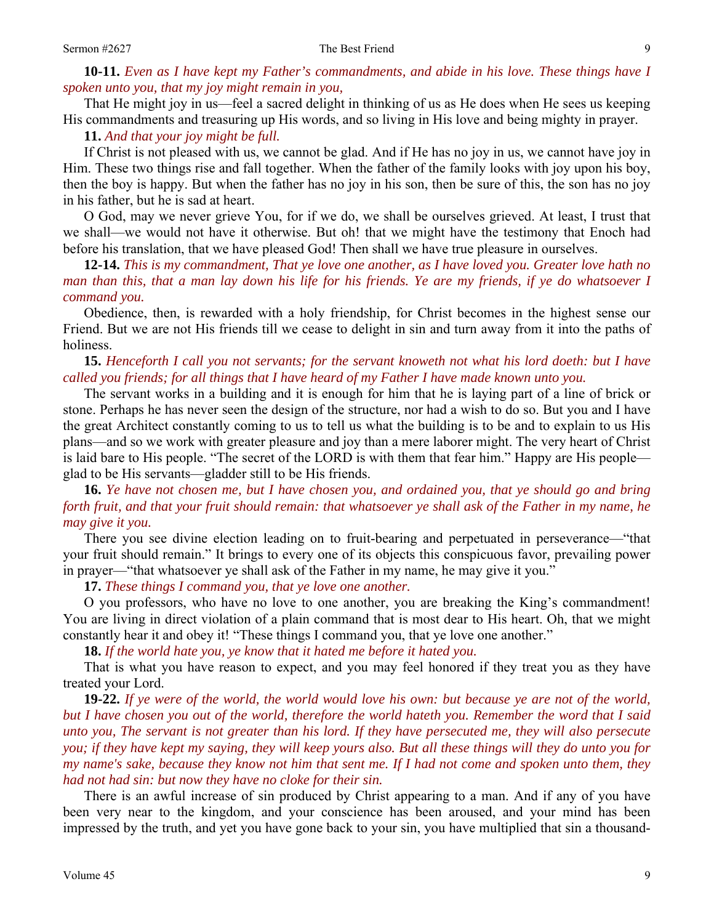## **10-11.** *Even as I have kept my Father's commandments, and abide in his love. These things have I spoken unto you, that my joy might remain in you,*

That He might joy in us—feel a sacred delight in thinking of us as He does when He sees us keeping His commandments and treasuring up His words, and so living in His love and being mighty in prayer.

**11.** *And that your joy might be full.* 

If Christ is not pleased with us, we cannot be glad. And if He has no joy in us, we cannot have joy in Him. These two things rise and fall together. When the father of the family looks with joy upon his boy, then the boy is happy. But when the father has no joy in his son, then be sure of this, the son has no joy in his father, but he is sad at heart.

 O God, may we never grieve You, for if we do, we shall be ourselves grieved. At least, I trust that we shall—we would not have it otherwise. But oh! that we might have the testimony that Enoch had before his translation, that we have pleased God! Then shall we have true pleasure in ourselves.

**12-14.** *This is my commandment, That ye love one another, as I have loved you. Greater love hath no man than this, that a man lay down his life for his friends. Ye are my friends, if ye do whatsoever I command you.* 

Obedience, then, is rewarded with a holy friendship, for Christ becomes in the highest sense our Friend. But we are not His friends till we cease to delight in sin and turn away from it into the paths of holiness.

 **15.** *Henceforth I call you not servants; for the servant knoweth not what his lord doeth: but I have called you friends; for all things that I have heard of my Father I have made known unto you.* 

The servant works in a building and it is enough for him that he is laying part of a line of brick or stone. Perhaps he has never seen the design of the structure, nor had a wish to do so. But you and I have the great Architect constantly coming to us to tell us what the building is to be and to explain to us His plans—and so we work with greater pleasure and joy than a mere laborer might. The very heart of Christ is laid bare to His people. "The secret of the LORD is with them that fear him." Happy are His people glad to be His servants—gladder still to be His friends.

**16.** *Ye have not chosen me, but I have chosen you, and ordained you, that ye should go and bring forth fruit, and that your fruit should remain: that whatsoever ye shall ask of the Father in my name, he may give it you.* 

There you see divine election leading on to fruit-bearing and perpetuated in perseverance—"that your fruit should remain." It brings to every one of its objects this conspicuous favor, prevailing power in prayer—"that whatsoever ye shall ask of the Father in my name, he may give it you."

**17.** *These things I command you, that ye love one another.* 

O you professors, who have no love to one another, you are breaking the King's commandment! You are living in direct violation of a plain command that is most dear to His heart. Oh, that we might constantly hear it and obey it! "These things I command you, that ye love one another."

**18.** *If the world hate you, ye know that it hated me before it hated you.* 

That is what you have reason to expect, and you may feel honored if they treat you as they have treated your Lord.

**19-22.** *If ye were of the world, the world would love his own: but because ye are not of the world, but I have chosen you out of the world, therefore the world hateth you. Remember the word that I said unto you, The servant is not greater than his lord. If they have persecuted me, they will also persecute you; if they have kept my saying, they will keep yours also. But all these things will they do unto you for my name's sake, because they know not him that sent me. If I had not come and spoken unto them, they had not had sin: but now they have no cloke for their sin.* 

There is an awful increase of sin produced by Christ appearing to a man. And if any of you have been very near to the kingdom, and your conscience has been aroused, and your mind has been impressed by the truth, and yet you have gone back to your sin, you have multiplied that sin a thousand